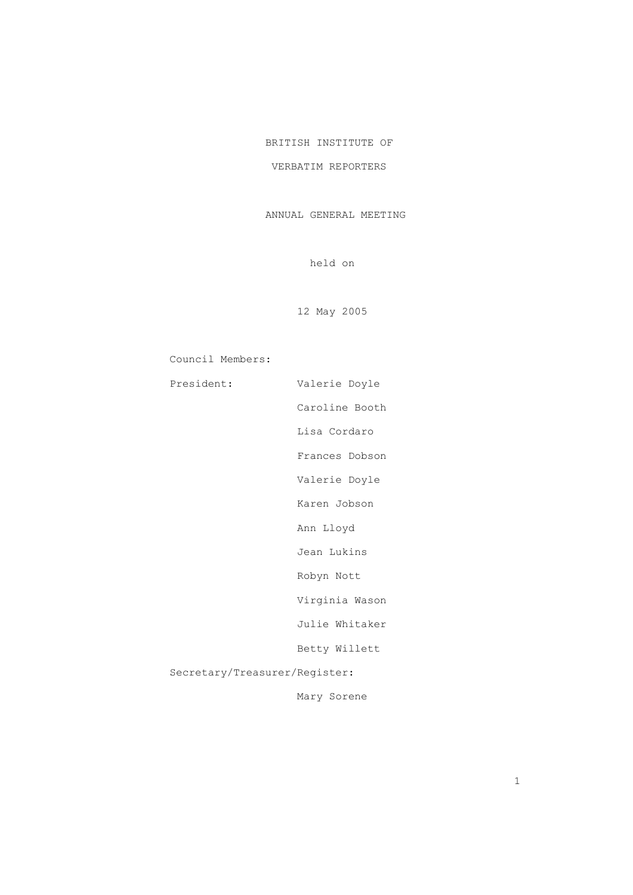## BRITISH INSTITUTE OF

## VERBATIM REPORTERS

## ANNUAL GENERAL MEETING

held on

12 May 2005

Council Members:

| President:                    | Valerie Doyle  |
|-------------------------------|----------------|
|                               | Caroline Booth |
|                               | Lisa Cordaro   |
|                               | Frances Dobson |
|                               | Valerie Doyle  |
|                               | Karen Jobson   |
|                               | Ann Lloyd      |
|                               | Jean Lukins    |
|                               | Robyn Nott     |
|                               | Virginia Wason |
|                               | Julie Whitaker |
|                               | Betty Willett  |
| Secretary/Treasurer/Register: |                |
|                               |                |

Mary Sorene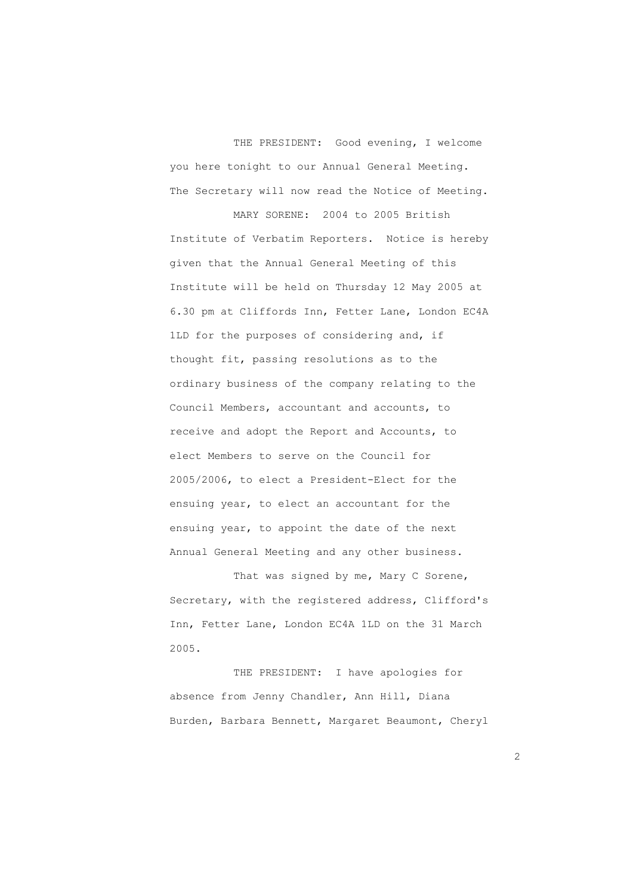THE PRESIDENT: Good evening, I welcome you here tonight to our Annual General Meeting. The Secretary will now read the Notice of Meeting.

 MARY SORENE: 2004 to 2005 British Institute of Verbatim Reporters. Notice is hereby given that the Annual General Meeting of this Institute will be held on Thursday 12 May 2005 at 6.30 pm at Cliffords Inn, Fetter Lane, London EC4A 1LD for the purposes of considering and, if thought fit, passing resolutions as to the ordinary business of the company relating to the Council Members, accountant and accounts, to receive and adopt the Report and Accounts, to elect Members to serve on the Council for 2005/2006, to elect a President-Elect for the ensuing year, to elect an accountant for the ensuing year, to appoint the date of the next Annual General Meeting and any other business.

That was signed by me, Mary C Sorene, Secretary, with the registered address, Clifford's Inn, Fetter Lane, London EC4A 1LD on the 31 March 2005.

 THE PRESIDENT: I have apologies for absence from Jenny Chandler, Ann Hill, Diana Burden, Barbara Bennett, Margaret Beaumont, Cheryl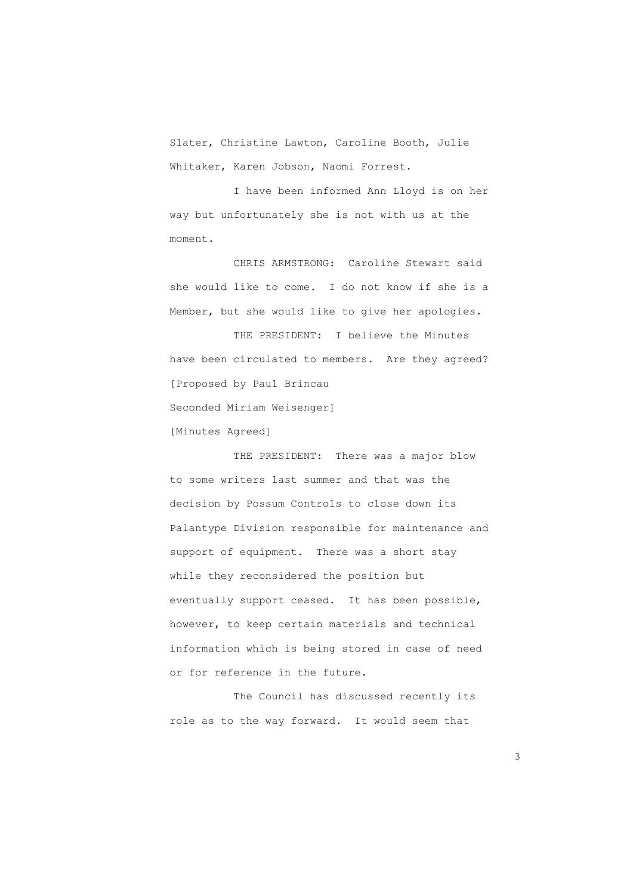Slater, Christine Lawton, Caroline Booth, Julie Whitaker, Karen Jobson, Naomi Forrest.

 I have been informed Ann Lloyd is on her way but unfortunately she is not with us at the moment.

 CHRIS ARMSTRONG: Caroline Stewart said she would like to come. I do not know if she is a Member, but she would like to give her apologies.

 THE PRESIDENT: I believe the Minutes have been circulated to members. Are they agreed? [Proposed by Paul Brincau Seconded Miriam Weisenger]

[Minutes Agreed]

THE PRESIDENT: There was a major blow to some writers last summer and that was the decision by Possum Controls to close down its Palantype Division responsible for maintenance and support of equipment. There was a short stay while they reconsidered the position but eventually support ceased. It has been possible, however, to keep certain materials and technical information which is being stored in case of need or for reference in the future.

 The Council has discussed recently its role as to the way forward. It would seem that

 $\sim$  3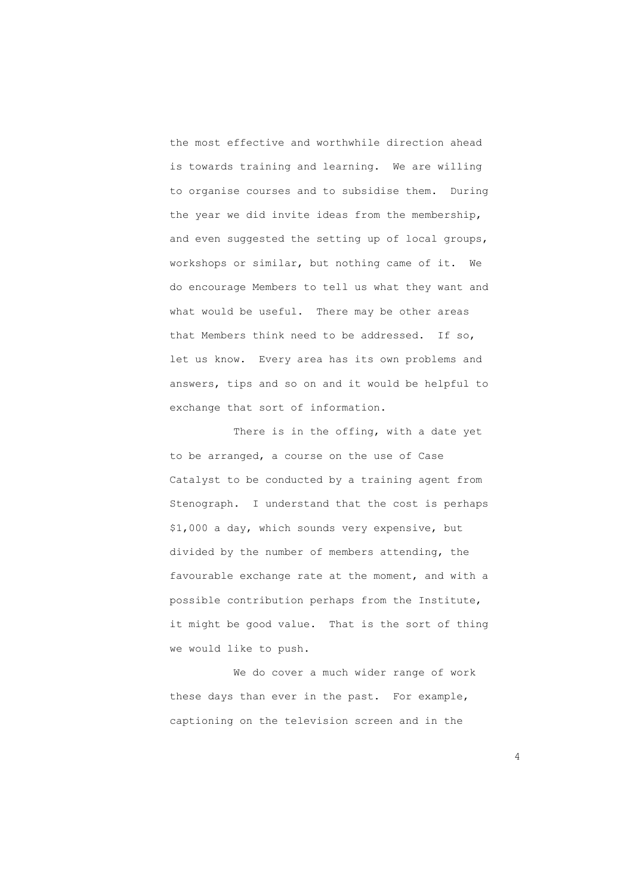the most effective and worthwhile direction ahead is towards training and learning. We are willing to organise courses and to subsidise them. During the year we did invite ideas from the membership, and even suggested the setting up of local groups, workshops or similar, but nothing came of it. We do encourage Members to tell us what they want and what would be useful. There may be other areas that Members think need to be addressed. If so, let us know. Every area has its own problems and answers, tips and so on and it would be helpful to exchange that sort of information.

 There is in the offing, with a date yet to be arranged, a course on the use of Case Catalyst to be conducted by a training agent from Stenograph. I understand that the cost is perhaps \$1,000 a day, which sounds very expensive, but divided by the number of members attending, the favourable exchange rate at the moment, and with a possible contribution perhaps from the Institute, it might be good value. That is the sort of thing we would like to push.

 We do cover a much wider range of work these days than ever in the past. For example, captioning on the television screen and in the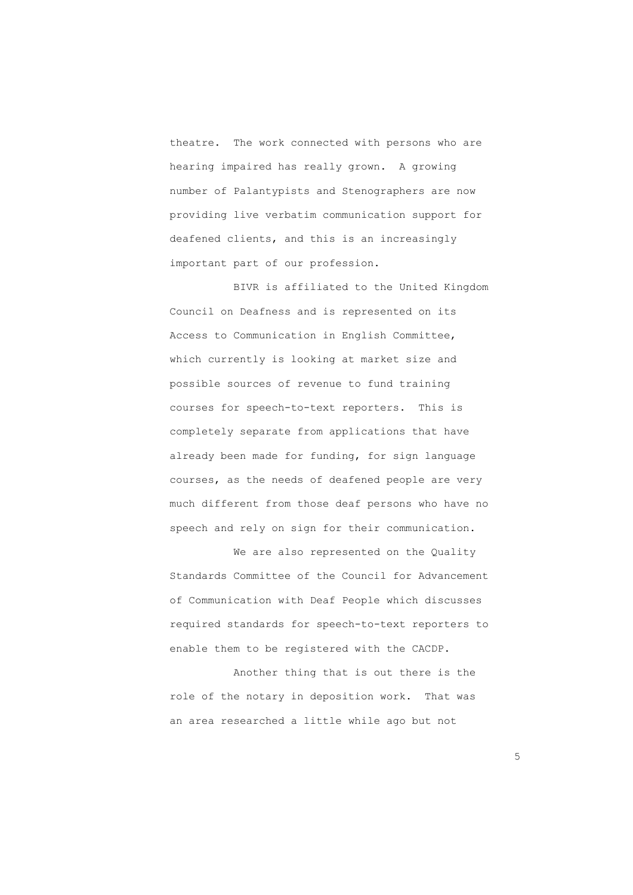theatre. The work connected with persons who are hearing impaired has really grown. A growing number of Palantypists and Stenographers are now providing live verbatim communication support for deafened clients, and this is an increasingly important part of our profession.

 BIVR is affiliated to the United Kingdom Council on Deafness and is represented on its Access to Communication in English Committee, which currently is looking at market size and possible sources of revenue to fund training courses for speech-to-text reporters. This is completely separate from applications that have already been made for funding, for sign language courses, as the needs of deafened people are very much different from those deaf persons who have no speech and rely on sign for their communication.

We are also represented on the Quality Standards Committee of the Council for Advancement of Communication with Deaf People which discusses required standards for speech-to-text reporters to enable them to be registered with the CACDP.

 Another thing that is out there is the role of the notary in deposition work. That was an area researched a little while ago but not

<u>5</u>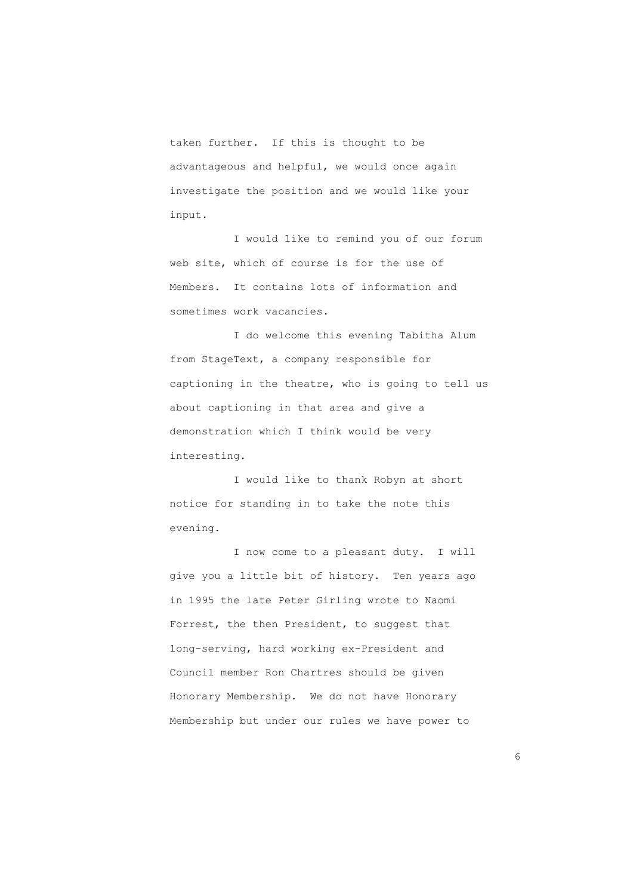taken further. If this is thought to be advantageous and helpful, we would once again investigate the position and we would like your input.

 I would like to remind you of our forum web site, which of course is for the use of Members. It contains lots of information and sometimes work vacancies.

 I do welcome this evening Tabitha Alum from StageText, a company responsible for captioning in the theatre, who is going to tell us about captioning in that area and give a demonstration which I think would be very interesting.

 I would like to thank Robyn at short notice for standing in to take the note this evening.

 I now come to a pleasant duty. I will give you a little bit of history. Ten years ago in 1995 the late Peter Girling wrote to Naomi Forrest, the then President, to suggest that long-serving, hard working ex-President and Council member Ron Chartres should be given Honorary Membership. We do not have Honorary Membership but under our rules we have power to

<u>6. In the contract of the contract of the contract of the contract of the contract of the contract of the contract of the contract of the contract of the contract of the contract of the contract of the contract of the con</u>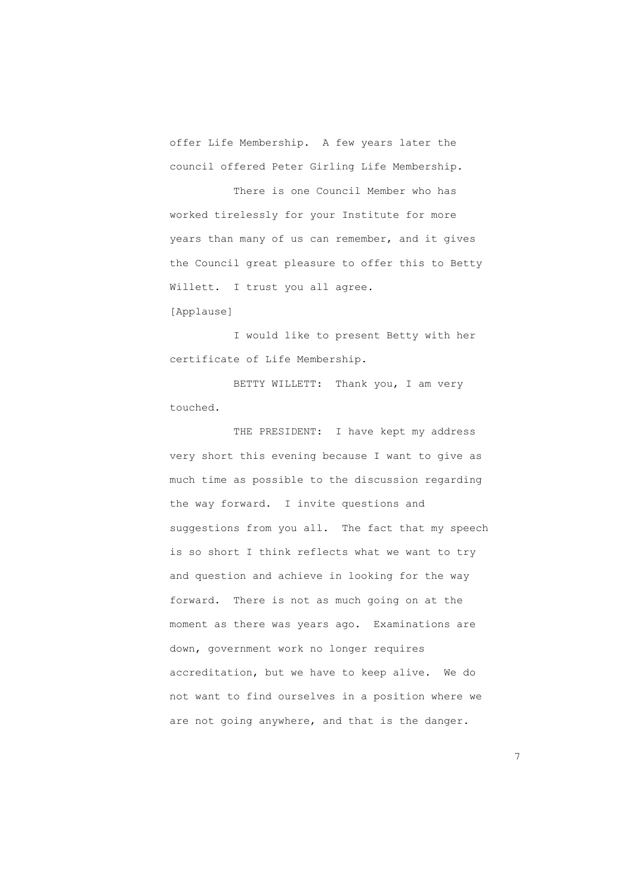offer Life Membership. A few years later the council offered Peter Girling Life Membership.

 There is one Council Member who has worked tirelessly for your Institute for more years than many of us can remember, and it gives the Council great pleasure to offer this to Betty Willett. I trust you all agree.

[Applause]

 I would like to present Betty with her certificate of Life Membership.

 BETTY WILLETT: Thank you, I am very touched.

THE PRESIDENT: I have kept my address very short this evening because I want to give as much time as possible to the discussion regarding the way forward. I invite questions and suggestions from you all. The fact that my speech is so short I think reflects what we want to try and question and achieve in looking for the way forward. There is not as much going on at the moment as there was years ago. Examinations are down, government work no longer requires accreditation, but we have to keep alive. We do not want to find ourselves in a position where we are not going anywhere, and that is the danger.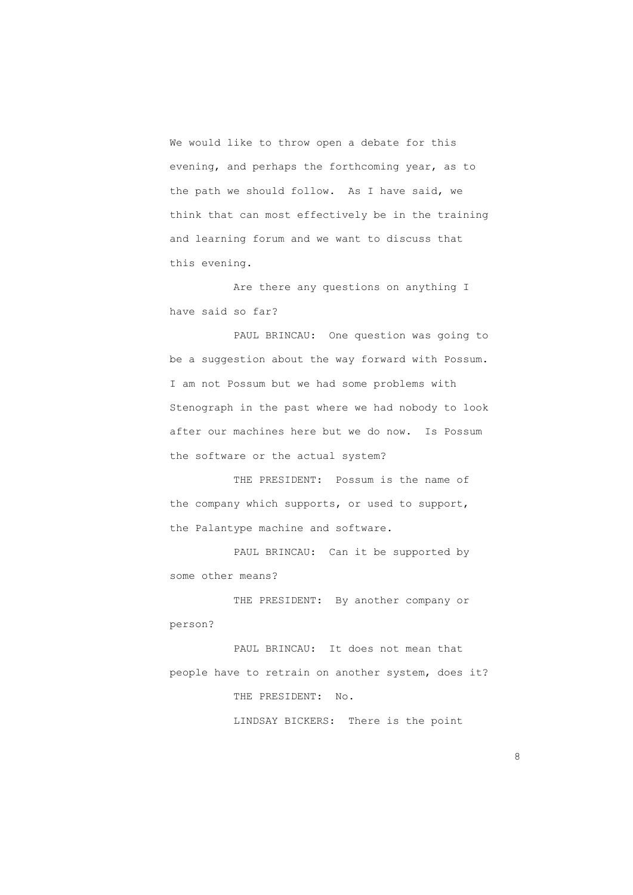We would like to throw open a debate for this evening, and perhaps the forthcoming year, as to the path we should follow. As I have said, we think that can most effectively be in the training and learning forum and we want to discuss that this evening.

 Are there any questions on anything I have said so far?

 PAUL BRINCAU: One question was going to be a suggestion about the way forward with Possum. I am not Possum but we had some problems with Stenograph in the past where we had nobody to look after our machines here but we do now. Is Possum the software or the actual system?

 THE PRESIDENT: Possum is the name of the company which supports, or used to support, the Palantype machine and software.

 PAUL BRINCAU: Can it be supported by some other means?

 THE PRESIDENT: By another company or person?

 PAUL BRINCAU: It does not mean that people have to retrain on another system, does it? THE PRESIDENT: No. LINDSAY BICKERS: There is the point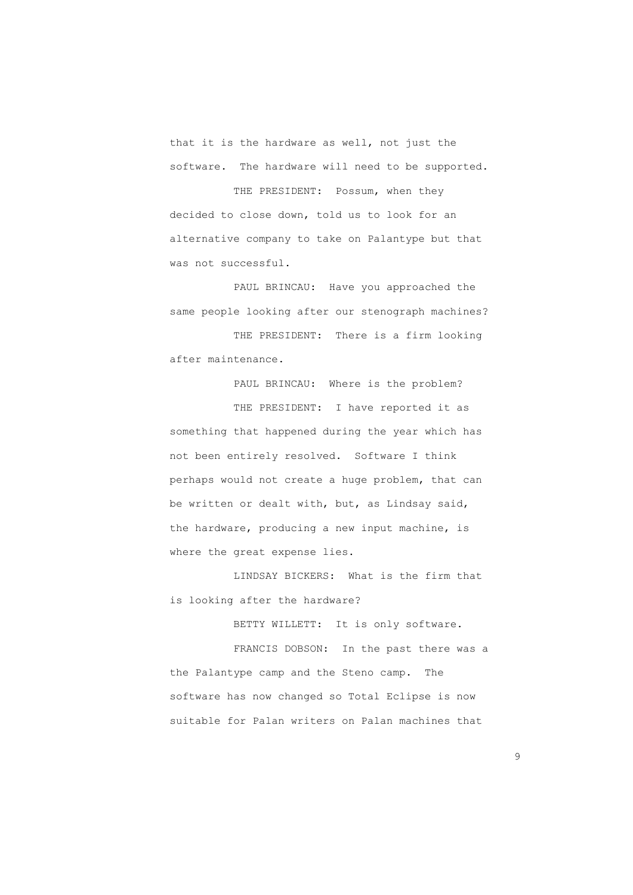that it is the hardware as well, not just the software. The hardware will need to be supported.

 THE PRESIDENT: Possum, when they decided to close down, told us to look for an alternative company to take on Palantype but that was not successful.

 PAUL BRINCAU: Have you approached the same people looking after our stenograph machines?

 THE PRESIDENT: There is a firm looking after maintenance.

 PAUL BRINCAU: Where is the problem? THE PRESIDENT: I have reported it as something that happened during the year which has not been entirely resolved. Software I think perhaps would not create a huge problem, that can be written or dealt with, but, as Lindsay said, the hardware, producing a new input machine, is where the great expense lies.

 LINDSAY BICKERS: What is the firm that is looking after the hardware?

BETTY WILLETT: It is only software.

 FRANCIS DOBSON: In the past there was a the Palantype camp and the Steno camp. The software has now changed so Total Eclipse is now suitable for Palan writers on Palan machines that

en de la construcción de la construcción de la construcción de la construcción de la construcción de la constr<br>O segundo de la construcción de la construcción de la construcción de la construcción de la construcción de la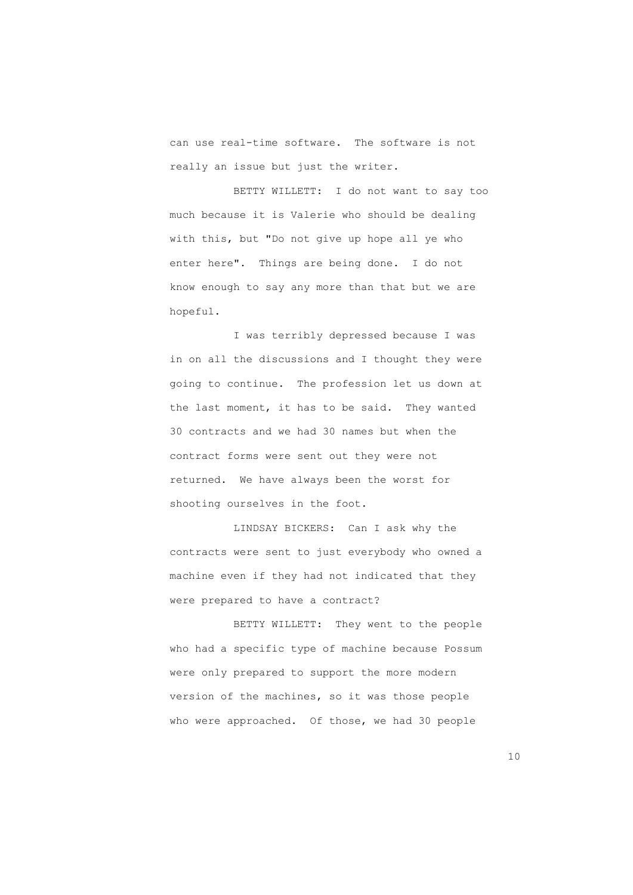can use real-time software. The software is not really an issue but just the writer.

 BETTY WILLETT: I do not want to say too much because it is Valerie who should be dealing with this, but "Do not give up hope all ye who enter here". Things are being done. I do not know enough to say any more than that but we are hopeful.

 I was terribly depressed because I was in on all the discussions and I thought they were going to continue. The profession let us down at the last moment, it has to be said. They wanted 30 contracts and we had 30 names but when the contract forms were sent out they were not returned. We have always been the worst for shooting ourselves in the foot.

 LINDSAY BICKERS: Can I ask why the contracts were sent to just everybody who owned a machine even if they had not indicated that they were prepared to have a contract?

 BETTY WILLETT: They went to the people who had a specific type of machine because Possum were only prepared to support the more modern version of the machines, so it was those people who were approached. Of those, we had 30 people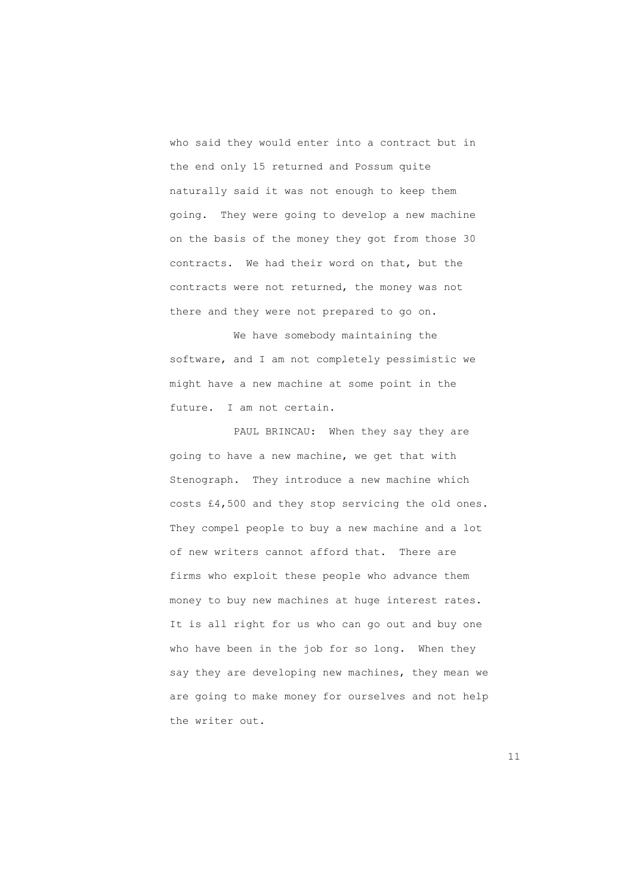who said they would enter into a contract but in the end only 15 returned and Possum quite naturally said it was not enough to keep them going. They were going to develop a new machine on the basis of the money they got from those 30 contracts. We had their word on that, but the contracts were not returned, the money was not there and they were not prepared to go on.

 We have somebody maintaining the software, and I am not completely pessimistic we might have a new machine at some point in the future. I am not certain.

 PAUL BRINCAU: When they say they are going to have a new machine, we get that with Stenograph. They introduce a new machine which costs £4,500 and they stop servicing the old ones. They compel people to buy a new machine and a lot of new writers cannot afford that. There are firms who exploit these people who advance them money to buy new machines at huge interest rates. It is all right for us who can go out and buy one who have been in the job for so long. When they say they are developing new machines, they mean we are going to make money for ourselves and not help the writer out.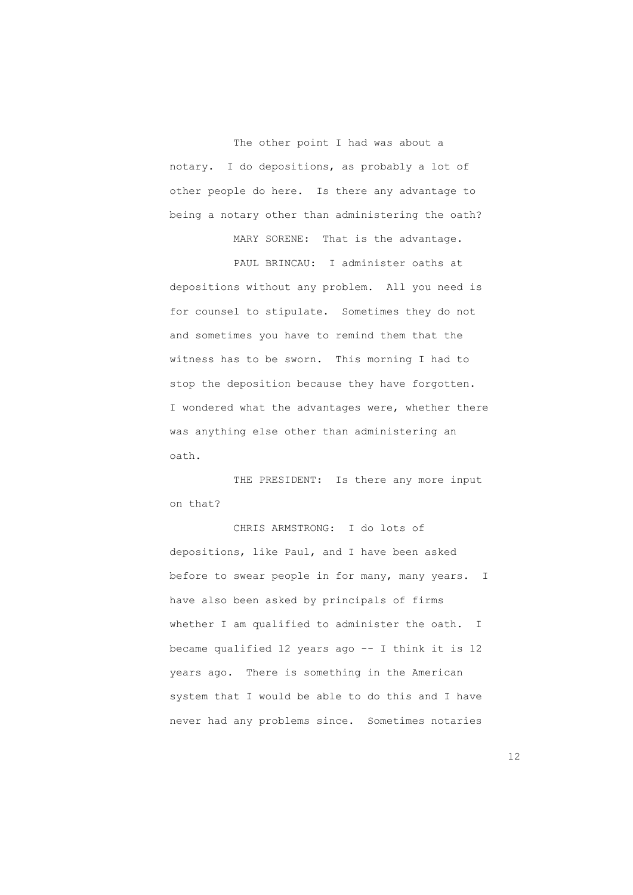The other point I had was about a notary. I do depositions, as probably a lot of other people do here. Is there any advantage to being a notary other than administering the oath?

MARY SORENE: That is the advantage.

 PAUL BRINCAU: I administer oaths at depositions without any problem. All you need is for counsel to stipulate. Sometimes they do not and sometimes you have to remind them that the witness has to be sworn. This morning I had to stop the deposition because they have forgotten. I wondered what the advantages were, whether there was anything else other than administering an oath.

THE PRESIDENT: Is there any more input on that?

 CHRIS ARMSTRONG: I do lots of depositions, like Paul, and I have been asked before to swear people in for many, many years. I have also been asked by principals of firms whether I am qualified to administer the oath. I became qualified 12 years ago -- I think it is 12 years ago. There is something in the American system that I would be able to do this and I have never had any problems since. Sometimes notaries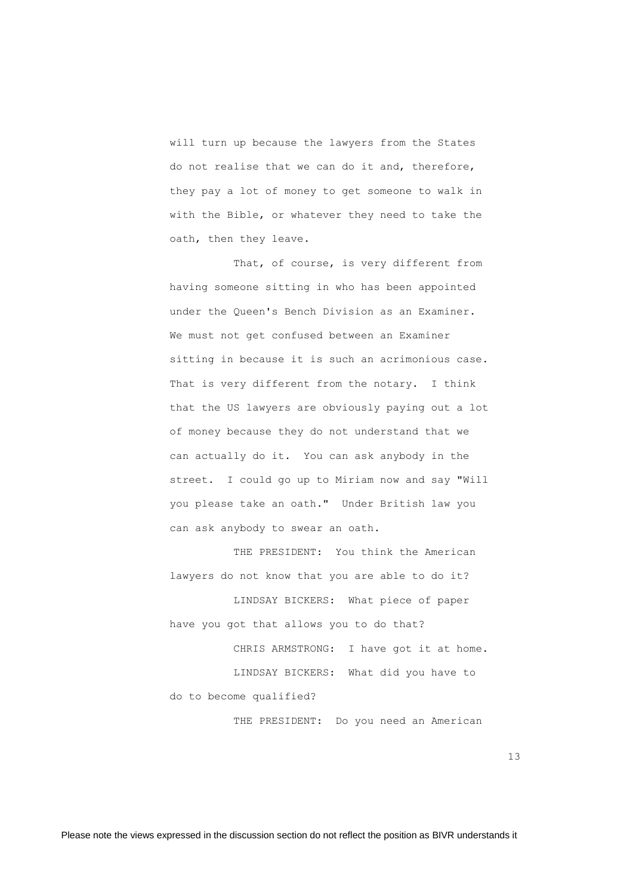will turn up because the lawyers from the States do not realise that we can do it and, therefore, they pay a lot of money to get someone to walk in with the Bible, or whatever they need to take the oath, then they leave.

That, of course, is very different from having someone sitting in who has been appointed under the Queen's Bench Division as an Examiner. We must not get confused between an Examiner sitting in because it is such an acrimonious case. That is very different from the notary. I think that the US lawyers are obviously paying out a lot of money because they do not understand that we can actually do it. You can ask anybody in the street. I could go up to Miriam now and say "Will you please take an oath." Under British law you can ask anybody to swear an oath.

 THE PRESIDENT: You think the American lawyers do not know that you are able to do it?

 LINDSAY BICKERS: What piece of paper have you got that allows you to do that?

 CHRIS ARMSTRONG: I have got it at home. LINDSAY BICKERS: What did you have to do to become qualified?

THE PRESIDENT: Do you need an American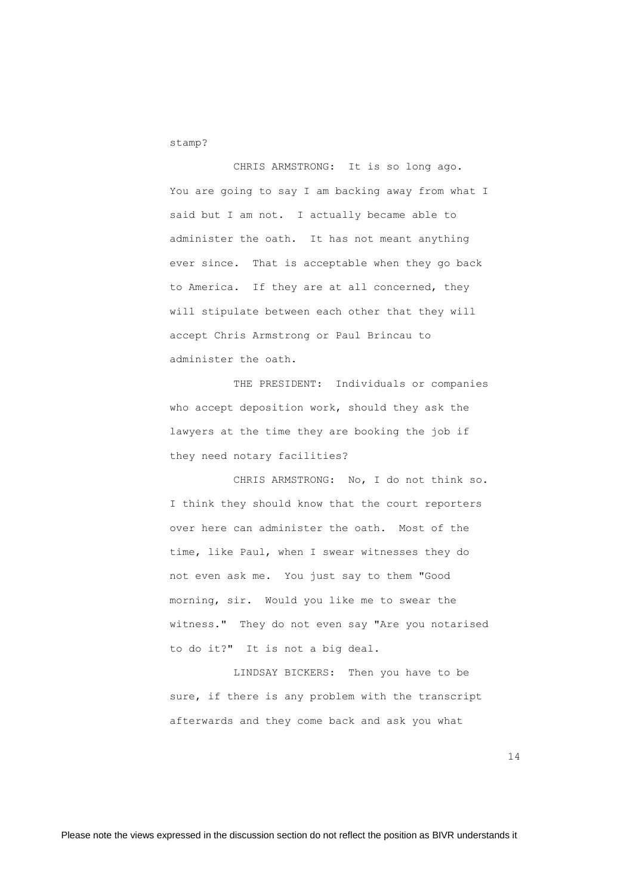stamp?

 CHRIS ARMSTRONG: It is so long ago. You are going to say I am backing away from what I said but I am not. I actually became able to administer the oath. It has not meant anything ever since. That is acceptable when they go back to America. If they are at all concerned, they will stipulate between each other that they will accept Chris Armstrong or Paul Brincau to administer the oath.

 THE PRESIDENT: Individuals or companies who accept deposition work, should they ask the lawyers at the time they are booking the job if they need notary facilities?

 CHRIS ARMSTRONG: No, I do not think so. I think they should know that the court reporters over here can administer the oath. Most of the time, like Paul, when I swear witnesses they do not even ask me. You just say to them "Good morning, sir. Would you like me to swear the witness." They do not even say "Are you notarised to do it?" It is not a big deal.

 LINDSAY BICKERS: Then you have to be sure, if there is any problem with the transcript afterwards and they come back and ask you what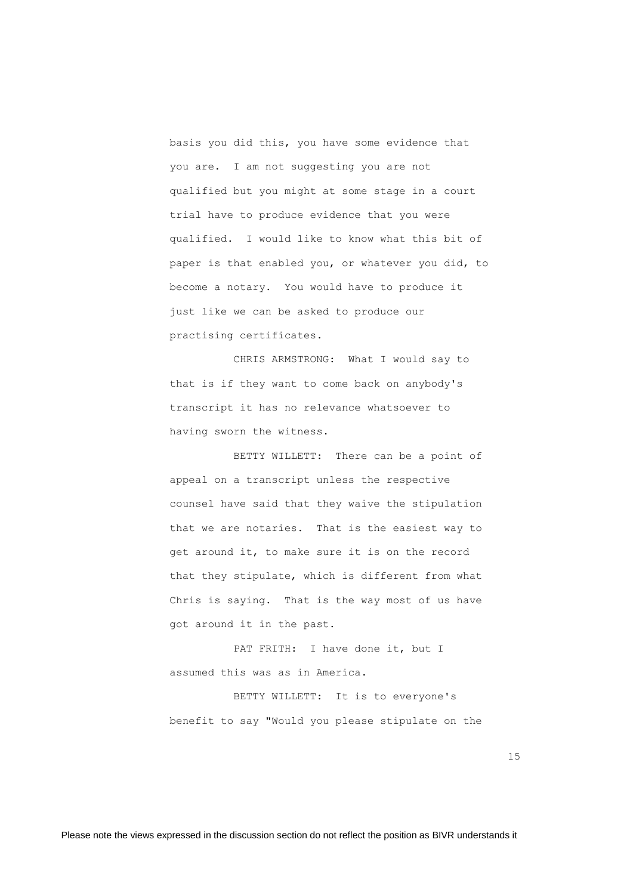basis you did this, you have some evidence that you are. I am not suggesting you are not qualified but you might at some stage in a court trial have to produce evidence that you were qualified. I would like to know what this bit of paper is that enabled you, or whatever you did, to become a notary. You would have to produce it just like we can be asked to produce our practising certificates.

 CHRIS ARMSTRONG: What I would say to that is if they want to come back on anybody's transcript it has no relevance whatsoever to having sworn the witness.

 BETTY WILLETT: There can be a point of appeal on a transcript unless the respective counsel have said that they waive the stipulation that we are notaries. That is the easiest way to get around it, to make sure it is on the record that they stipulate, which is different from what Chris is saying. That is the way most of us have got around it in the past.

PAT FRITH: I have done it, but I assumed this was as in America.

 BETTY WILLETT: It is to everyone's benefit to say "Would you please stipulate on the

15 and 15 and 15 and 15 and 15 and 15 and 15 and 15 and 15 and 15 and 15 and 15 and 15 and 15 and 15 and 15 and 15 and 15 and 15 and 16 and 16 and 16 and 16 and 16 and 16 and 16 and 16 and 16 and 16 and 16 and 16 and 16 an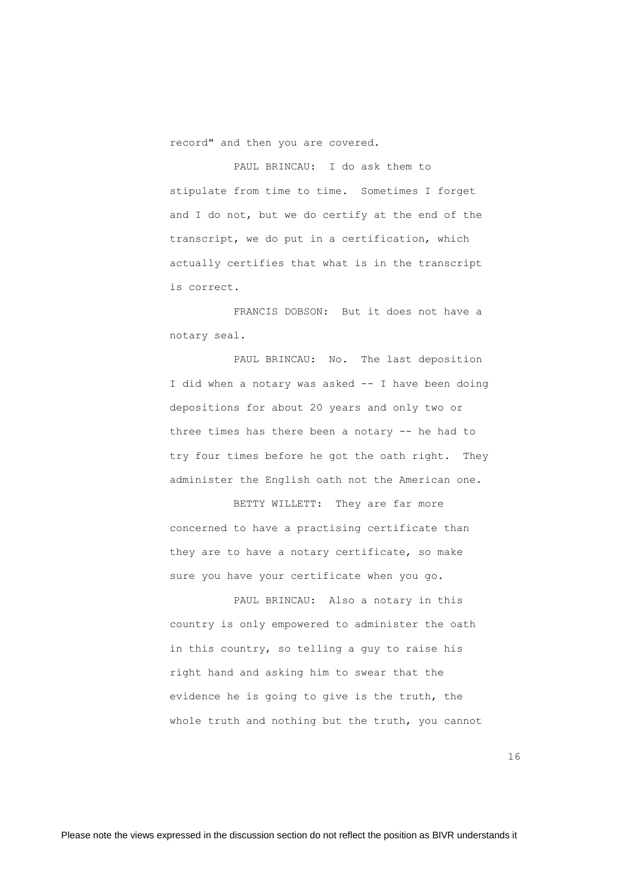record" and then you are covered.

 PAUL BRINCAU: I do ask them to stipulate from time to time. Sometimes I forget and I do not, but we do certify at the end of the transcript, we do put in a certification, which actually certifies that what is in the transcript is correct.

 FRANCIS DOBSON: But it does not have a notary seal.

PAUL BRINCAU: No. The last deposition I did when a notary was asked -- I have been doing depositions for about 20 years and only two or three times has there been a notary -- he had to try four times before he got the oath right. They administer the English oath not the American one.

 BETTY WILLETT: They are far more concerned to have a practising certificate than they are to have a notary certificate, so make sure you have your certificate when you go.

 PAUL BRINCAU: Also a notary in this country is only empowered to administer the oath in this country, so telling a guy to raise his right hand and asking him to swear that the evidence he is going to give is the truth, the whole truth and nothing but the truth, you cannot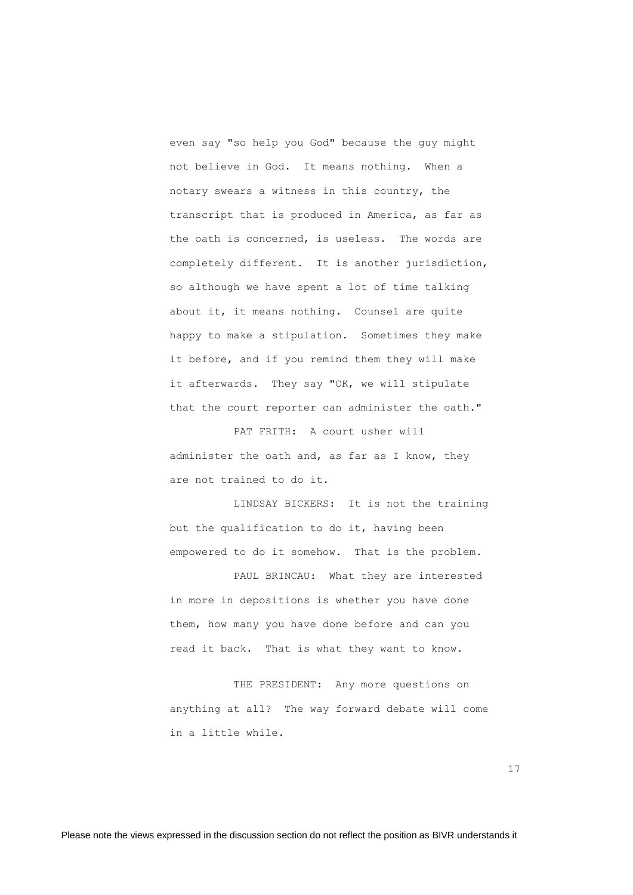even say "so help you God" because the guy might not believe in God. It means nothing. When a notary swears a witness in this country, the transcript that is produced in America, as far as the oath is concerned, is useless. The words are completely different. It is another jurisdiction, so although we have spent a lot of time talking about it, it means nothing. Counsel are quite happy to make a stipulation. Sometimes they make it before, and if you remind them they will make it afterwards. They say "OK, we will stipulate that the court reporter can administer the oath."

 PAT FRITH: A court usher will administer the oath and, as far as I know, they are not trained to do it.

 LINDSAY BICKERS: It is not the training but the qualification to do it, having been empowered to do it somehow. That is the problem.

 PAUL BRINCAU: What they are interested in more in depositions is whether you have done them, how many you have done before and can you read it back. That is what they want to know.

THE PRESIDENT: Any more questions on anything at all? The way forward debate will come in a little while.

17<sup>1</sup>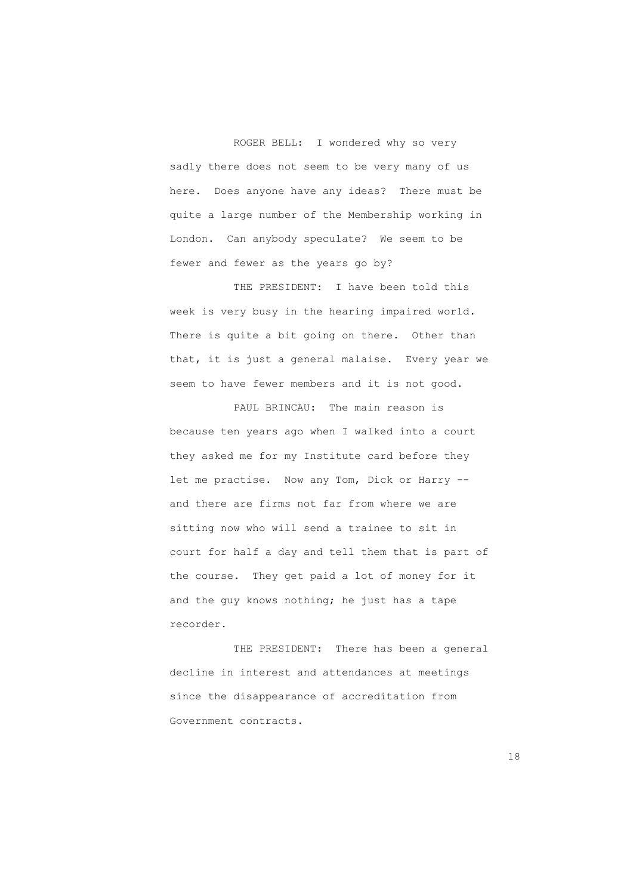ROGER BELL: I wondered why so very sadly there does not seem to be very many of us here. Does anyone have any ideas? There must be quite a large number of the Membership working in London. Can anybody speculate? We seem to be fewer and fewer as the years go by?

 THE PRESIDENT: I have been told this week is very busy in the hearing impaired world. There is quite a bit going on there. Other than that, it is just a general malaise. Every year we seem to have fewer members and it is not good.

 PAUL BRINCAU: The main reason is because ten years ago when I walked into a court they asked me for my Institute card before they let me practise. Now any Tom, Dick or Harry - and there are firms not far from where we are sitting now who will send a trainee to sit in court for half a day and tell them that is part of the course. They get paid a lot of money for it and the guy knows nothing; he just has a tape recorder.

 THE PRESIDENT: There has been a general decline in interest and attendances at meetings since the disappearance of accreditation from Government contracts.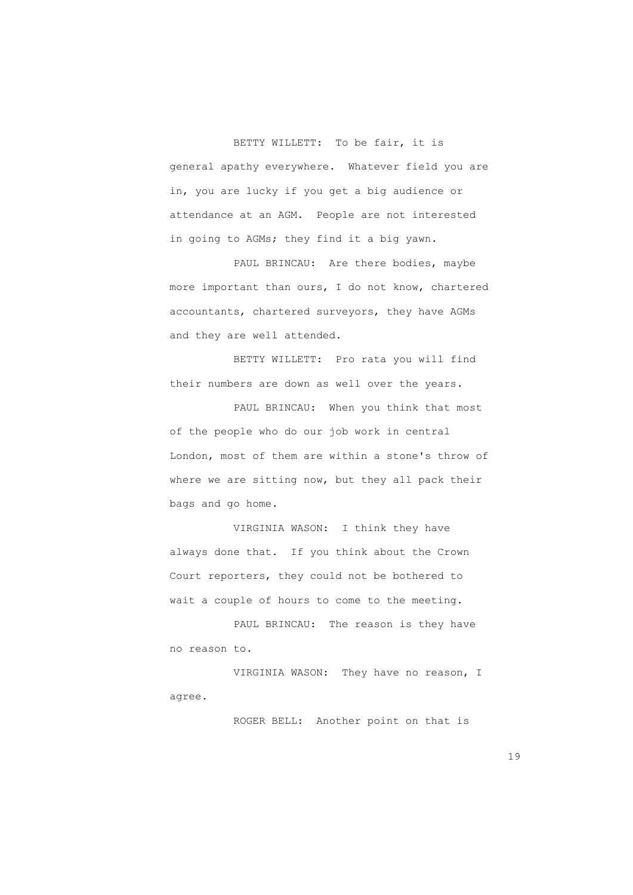BETTY WILLETT: To be fair, it is general apathy everywhere. Whatever field you are in, you are lucky if you get a big audience or attendance at an AGM. People are not interested in going to AGMs; they find it a big yawn.

PAUL BRINCAU: Are there bodies, maybe more important than ours, I do not know, chartered accountants, chartered surveyors, they have AGMs and they are well attended.

 BETTY WILLETT: Pro rata you will find their numbers are down as well over the years.

PAUL BRINCAU: When you think that most of the people who do our job work in central London, most of them are within a stone's throw of where we are sitting now, but they all pack their bags and go home.

 VIRGINIA WASON: I think they have always done that. If you think about the Crown Court reporters, they could not be bothered to wait a couple of hours to come to the meeting.

 PAUL BRINCAU: The reason is they have no reason to.

 VIRGINIA WASON: They have no reason, I agree.

ROGER BELL: Another point on that is

19 and 19 and 19 and 19 and 19 and 19 and 19 and 19 and 19 and 19 and 19 and 19 and 19 and 19 and 19 and 19 an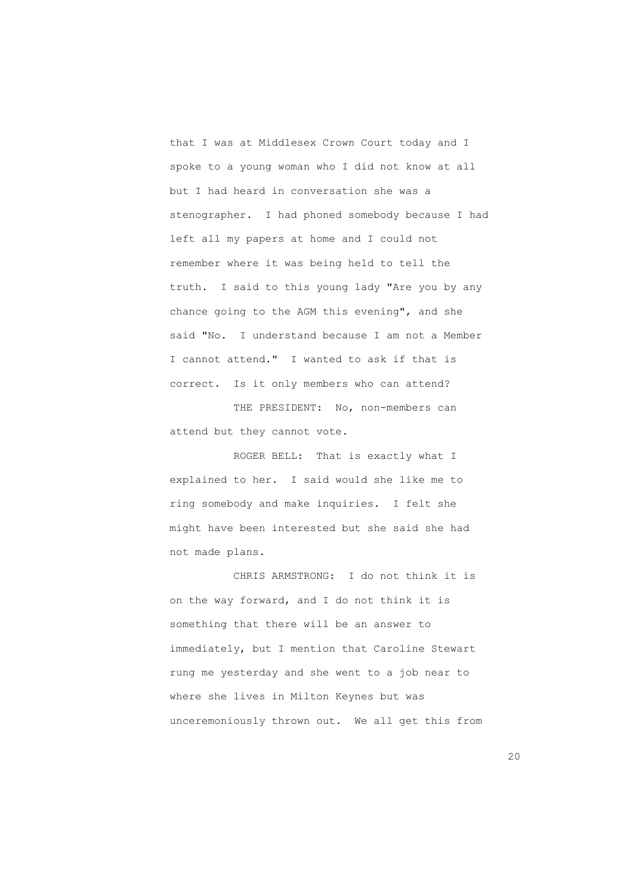that I was at Middlesex Crown Court today and I spoke to a young woman who I did not know at all but I had heard in conversation she was a stenographer. I had phoned somebody because I had left all my papers at home and I could not remember where it was being held to tell the truth. I said to this young lady "Are you by any chance going to the AGM this evening", and she said "No. I understand because I am not a Member I cannot attend." I wanted to ask if that is correct. Is it only members who can attend?

THE PRESIDENT: No, non-members can attend but they cannot vote.

 ROGER BELL: That is exactly what I explained to her. I said would she like me to ring somebody and make inquiries. I felt she might have been interested but she said she had not made plans.

 CHRIS ARMSTRONG: I do not think it is on the way forward, and I do not think it is something that there will be an answer to immediately, but I mention that Caroline Stewart rung me yesterday and she went to a job near to where she lives in Milton Keynes but was unceremoniously thrown out. We all get this from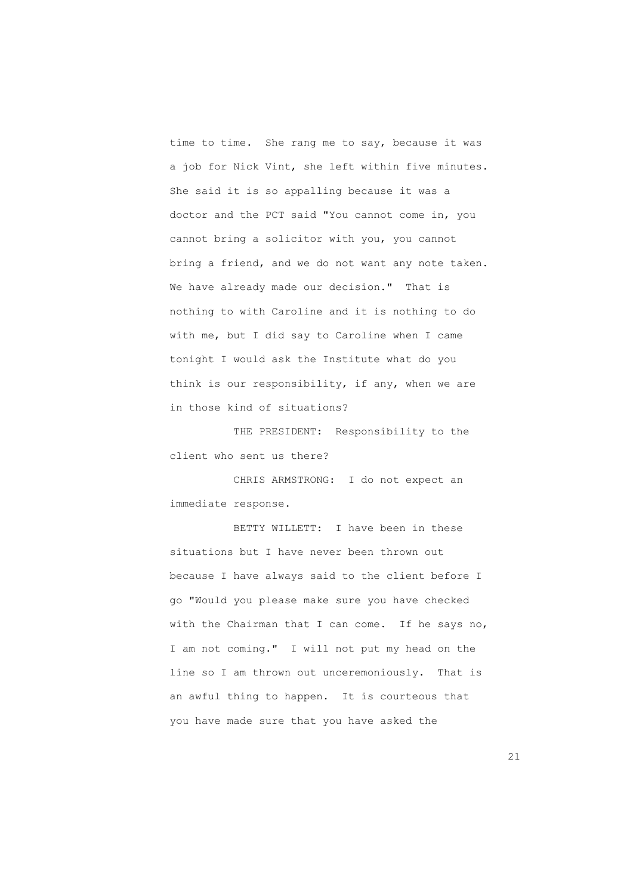time to time. She rang me to say, because it was a job for Nick Vint, she left within five minutes. She said it is so appalling because it was a doctor and the PCT said "You cannot come in, you cannot bring a solicitor with you, you cannot bring a friend, and we do not want any note taken. We have already made our decision." That is nothing to with Caroline and it is nothing to do with me, but I did say to Caroline when I came tonight I would ask the Institute what do you think is our responsibility, if any, when we are in those kind of situations?

 THE PRESIDENT: Responsibility to the client who sent us there?

 CHRIS ARMSTRONG: I do not expect an immediate response.

 BETTY WILLETT: I have been in these situations but I have never been thrown out because I have always said to the client before I go "Would you please make sure you have checked with the Chairman that I can come. If he says no, I am not coming." I will not put my head on the line so I am thrown out unceremoniously. That is an awful thing to happen. It is courteous that you have made sure that you have asked the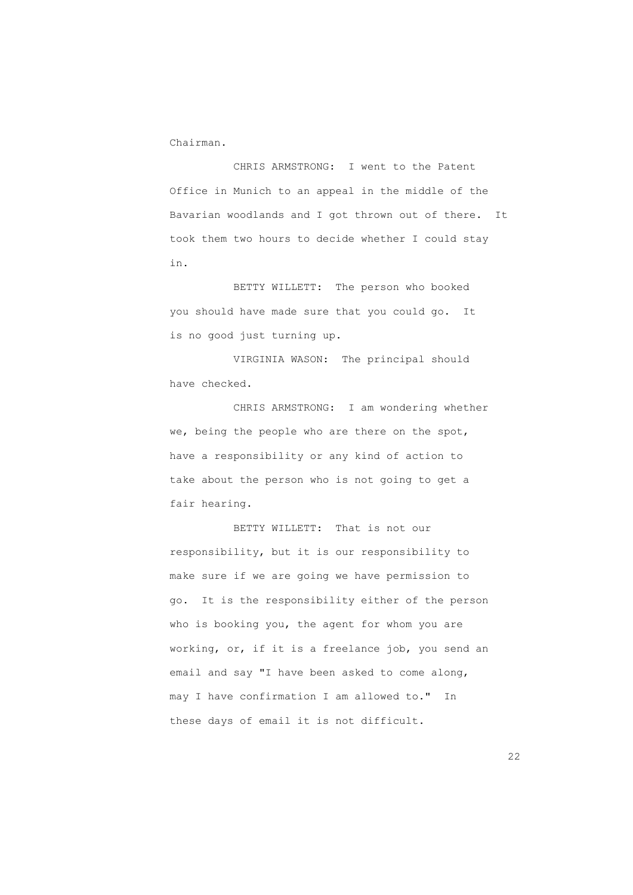Chairman.

 CHRIS ARMSTRONG: I went to the Patent Office in Munich to an appeal in the middle of the Bavarian woodlands and I got thrown out of there. It took them two hours to decide whether I could stay in.

 BETTY WILLETT: The person who booked you should have made sure that you could go. It is no good just turning up.

 VIRGINIA WASON: The principal should have checked.

 CHRIS ARMSTRONG: I am wondering whether we, being the people who are there on the spot, have a responsibility or any kind of action to take about the person who is not going to get a fair hearing.

 BETTY WILLETT: That is not our responsibility, but it is our responsibility to make sure if we are going we have permission to go. It is the responsibility either of the person who is booking you, the agent for whom you are working, or, if it is a freelance job, you send an email and say "I have been asked to come along, may I have confirmation I am allowed to." In these days of email it is not difficult.

22 a *22*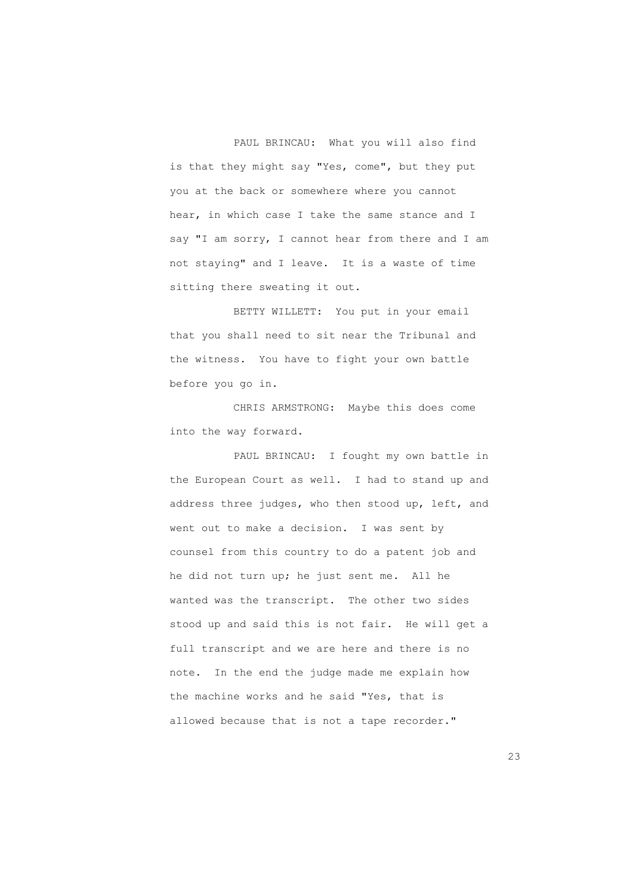PAUL BRINCAU: What you will also find is that they might say "Yes, come", but they put you at the back or somewhere where you cannot hear, in which case I take the same stance and I say "I am sorry, I cannot hear from there and I am not staying" and I leave. It is a waste of time sitting there sweating it out.

 BETTY WILLETT: You put in your email that you shall need to sit near the Tribunal and the witness. You have to fight your own battle before you go in.

 CHRIS ARMSTRONG: Maybe this does come into the way forward.

 PAUL BRINCAU: I fought my own battle in the European Court as well. I had to stand up and address three judges, who then stood up, left, and went out to make a decision. I was sent by counsel from this country to do a patent job and he did not turn up; he just sent me. All he wanted was the transcript. The other two sides stood up and said this is not fair. He will get a full transcript and we are here and there is no note. In the end the judge made me explain how the machine works and he said "Yes, that is allowed because that is not a tape recorder."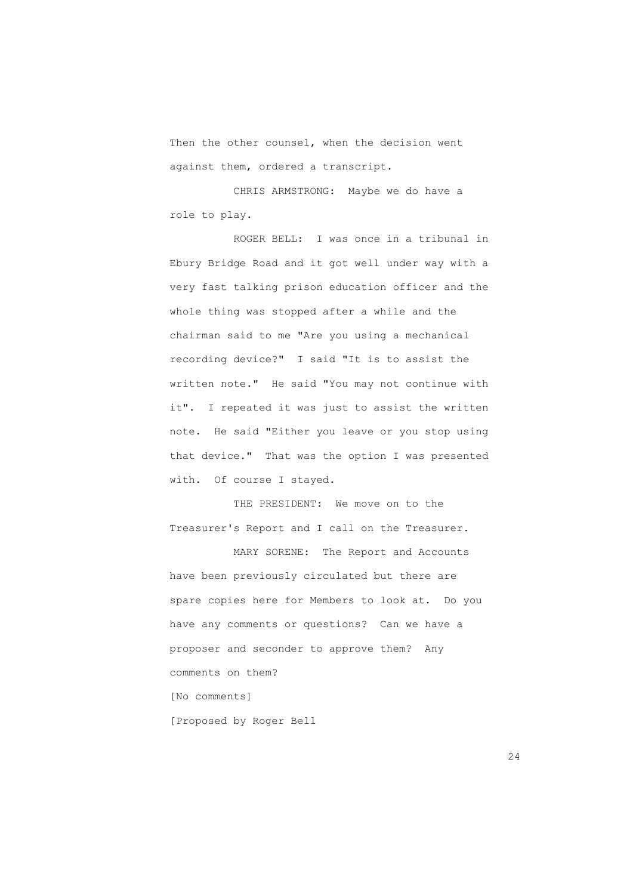Then the other counsel, when the decision went against them, ordered a transcript.

 CHRIS ARMSTRONG: Maybe we do have a role to play.

 ROGER BELL: I was once in a tribunal in Ebury Bridge Road and it got well under way with a very fast talking prison education officer and the whole thing was stopped after a while and the chairman said to me "Are you using a mechanical recording device?" I said "It is to assist the written note." He said "You may not continue with it". I repeated it was just to assist the written note. He said "Either you leave or you stop using that device." That was the option I was presented with. Of course I stayed.

 THE PRESIDENT: We move on to the Treasurer's Report and I call on the Treasurer.

 MARY SORENE: The Report and Accounts have been previously circulated but there are spare copies here for Members to look at. Do you have any comments or questions? Can we have a proposer and seconder to approve them? Any comments on them? [No comments] [Proposed by Roger Bell

24<sup>2</sup>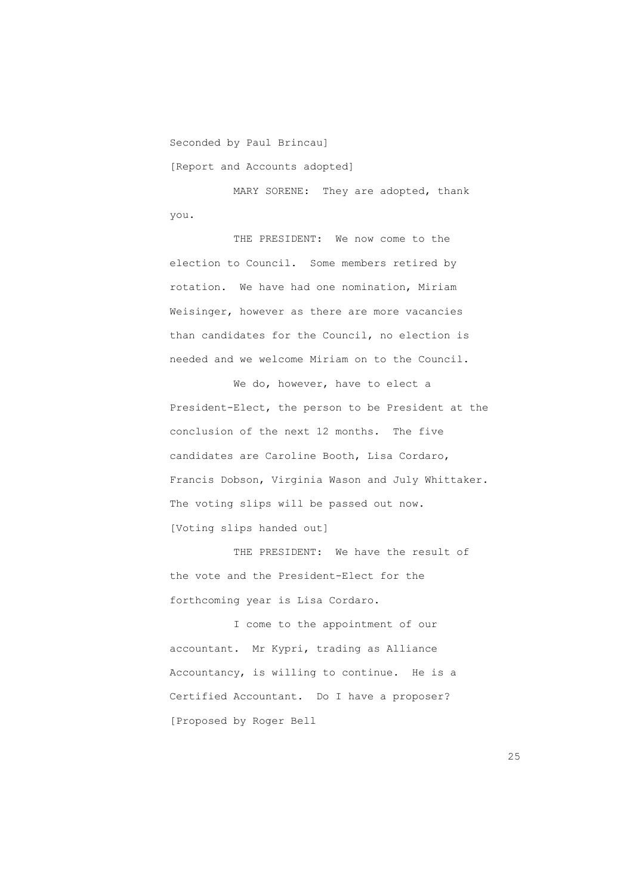Seconded by Paul Brincau]

[Report and Accounts adopted]

MARY SORENE: They are adopted, thank you.

 THE PRESIDENT: We now come to the election to Council. Some members retired by rotation. We have had one nomination, Miriam Weisinger, however as there are more vacancies than candidates for the Council, no election is needed and we welcome Miriam on to the Council.

We do, however, have to elect a President-Elect, the person to be President at the conclusion of the next 12 months. The five candidates are Caroline Booth, Lisa Cordaro, Francis Dobson, Virginia Wason and July Whittaker. The voting slips will be passed out now. [Voting slips handed out]

 THE PRESIDENT: We have the result of the vote and the President-Elect for the forthcoming year is Lisa Cordaro.

 I come to the appointment of our accountant. Mr Kypri, trading as Alliance Accountancy, is willing to continue. He is a Certified Accountant. Do I have a proposer? [Proposed by Roger Bell